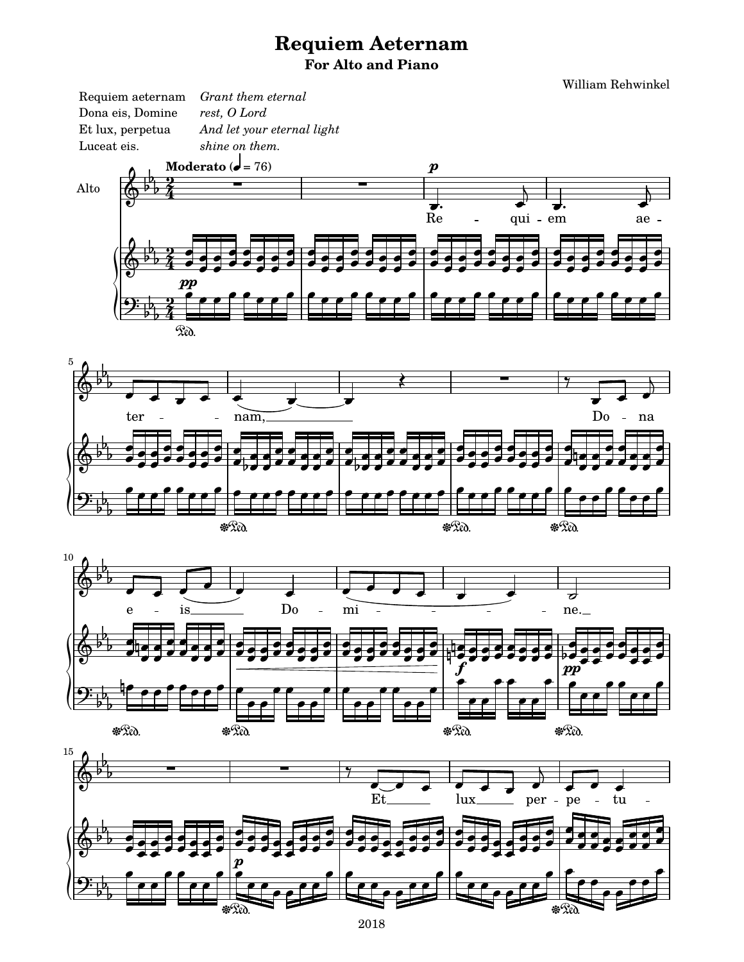## **Requiem Aeternam** For Alto and Piano

William Rehwinkel





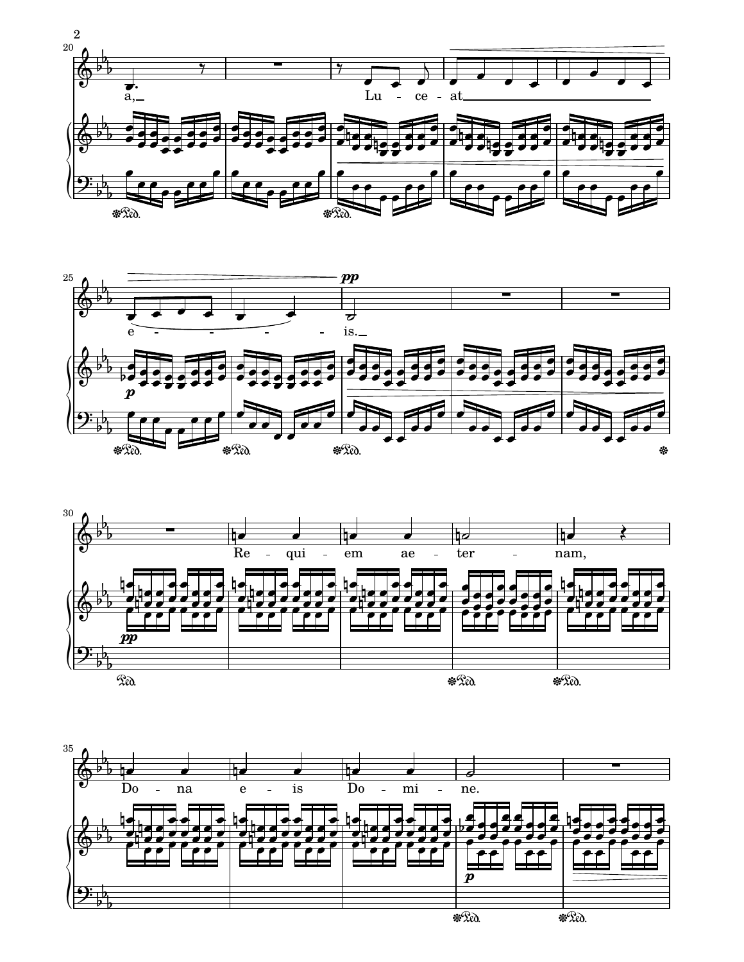